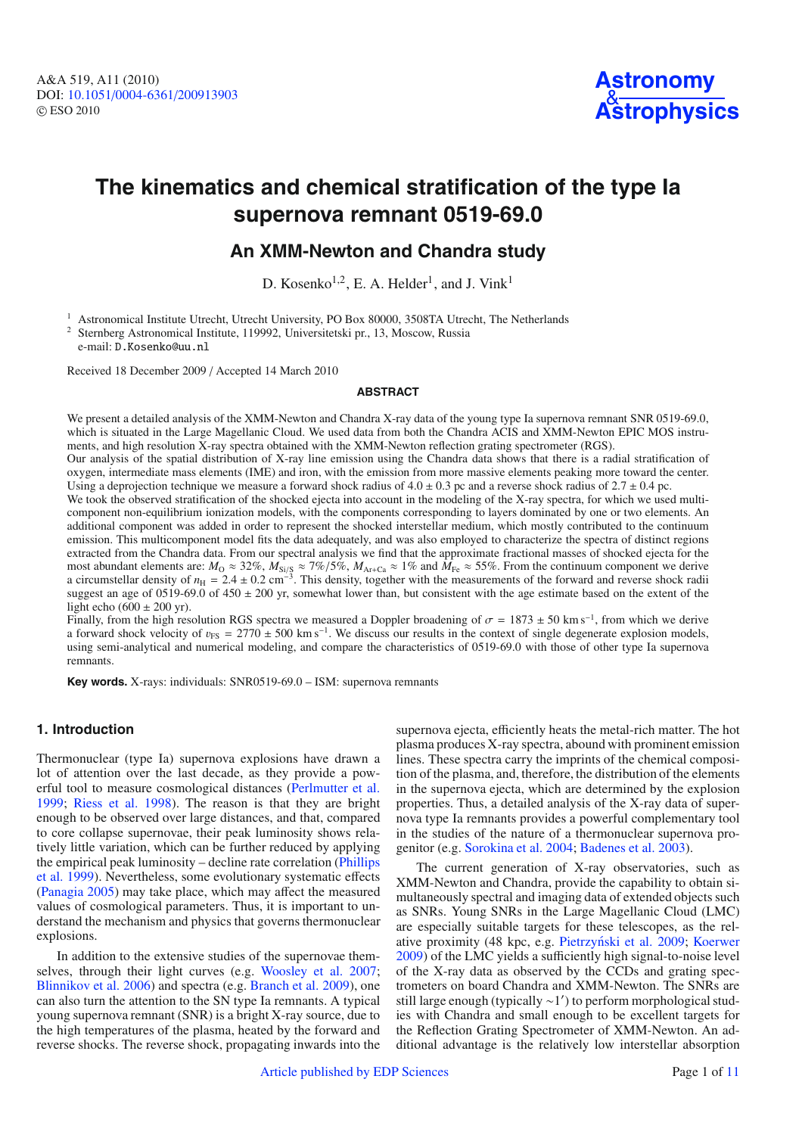

# **The kinematics and chemical stratification of the type Ia supernova remnant 0519-69.0**

# **An XMM-Newton and Chandra study**

D. Kosenko<sup>1,2</sup>, E. A. Helder<sup>1</sup>, and J. Vink<sup>1</sup>

<sup>1</sup> Astronomical Institute Utrecht, Utrecht University, PO Box 80000, 3508TA Utrecht, The Netherlands <sup>2</sup> Sternberg Astronomical Institute, 119992, Universitetski pr., 13, Moscow, Russia

e-mail: D.Kosenko@uu.nl

Received 18 December 2009 / Accepted 14 March 2010

# **ABSTRACT**

We present a detailed analysis of the XMM-Newton and Chandra X-ray data of the young type Ia supernova remnant SNR 0519-69.0, which is situated in the Large Magellanic Cloud. We used data from both the Chandra ACIS and XMM-Newton EPIC MOS instruments, and high resolution X-ray spectra obtained with the XMM-Newton reflection grating spectrometer (RGS).

Our analysis of the spatial distribution of X-ray line emission using the Chandra data shows that there is a radial stratification of oxygen, intermediate mass elements (IME) and iron, with the emission from more massive elements peaking more toward the center. Using a deprojection technique we measure a forward shock radius of  $4.0 \pm 0.3$  pc and a reverse shock radius of  $2.7 \pm 0.4$  pc.

We took the observed stratification of the shocked ejecta into account in the modeling of the X-ray spectra, for which we used multicomponent non-equilibrium ionization models, with the components corresponding to layers dominated by one or two elements. An additional component was added in order to represent the shocked interstellar medium, which mostly contributed to the continuum emission. This multicomponent model fits the data adequately, and was also employed to characterize the spectra of distinct regions extracted from the Chandra data. From our spectral analysis we find that the approximate fractional masses of shocked ejecta for the most abundant elements are:  $M_{\rm O} \approx 32\%, M_{\rm Si/\\S} \approx 7\%/5\%, M_{\rm Ar+Ca} \approx 1\%$  and  $M_{\rm Fe} \approx 55\%$ . From the continuum component we derive a circumstellar density of  $n_H = 2.4 \pm 0.2$  cm<sup>-3</sup>. This density, together with the measurements of the forward and reverse shock radii suggest an age of 0519-69.0 of  $450 \pm 200$  yr, somewhat lower than, but consistent with the age estimate based on the extent of the light echo (600  $\pm$  200 yr).

Finally, from the high resolution RGS spectra we measured a Doppler broadening of  $\sigma = 1873 \pm 50$  km s<sup>−1</sup>, from which we derive a forward shock velocity of  $v_{FS} = 2770 \pm 500 \text{ km s}^{-1}$ . We discuss our results in the context of single degenerate explosion models, using semi-analytical and numerical modeling, and compare the characteristics of 0519-69.0 with those of other type Ia supernova remnants.

**Key words.** X-rays: individuals: SNR0519-69.0 – ISM: supernova remnants

# **1. Introduction**

Thermonuclear (type Ia) supernova explosions have drawn a lot of attention over the last decade, as they provide a powerful tool to measure cosmological distances [\(Perlmutter et al.](#page-10-0) [1999](#page-10-0); [Riess et al. 1998](#page-10-1)). The reason is that they are bright enough to be observed over large distances, and that, compared to core collapse supernovae, their peak luminosity shows relatively little variation, which can be further reduced by applying the e[mpirical peak luminosity – decline rate correlation \(](#page-10-2)Phillips et al. [1999\)](#page-10-2). Nevertheless, some evolutionary systematic effects [\(Panagia 2005\)](#page-10-3) may take place, which may affect the measured values of cosmological parameters. Thus, it is important to understand the mechanism and physics that governs thermonuclear explosions.

In addition to the extensive studies of the supernovae themselves, through their light curves (e.g. [Woosley et al. 2007](#page-10-4); [Blinnikov et al. 2006\)](#page-10-5) and spectra (e.g. [Branch et al. 2009](#page-10-6)), one can also turn the attention to the SN type Ia remnants. A typical young supernova remnant (SNR) is a bright X-ray source, due to the high temperatures of the plasma, heated by the forward and reverse shocks. The reverse shock, propagating inwards into the

supernova ejecta, efficiently heats the metal-rich matter. The hot plasma produces X-ray spectra, abound with prominent emission lines. These spectra carry the imprints of the chemical composition of the plasma, and, therefore, the distribution of the elements in the supernova ejecta, which are determined by the explosion properties. Thus, a detailed analysis of the X-ray data of supernova type Ia remnants provides a powerful complementary tool in the studies of the nature of a thermonuclear supernova progenitor (e.g. [Sorokina et al. 2004](#page-10-7); [Badenes et al. 2003\)](#page-10-8).

The current generation of X-ray observatories, such as XMM-Newton and Chandra, provide the capability to obtain simultaneously spectral and imaging data of extended objects such as SNRs. Young SNRs in the Large Magellanic Cloud (LMC) are especially suitable targets for these telescopes, as the rel-ative proximity (48 kpc, e.g. Pietrzyński et al. 2009; [Koerwer](#page-10-10) [2009](#page-10-10)) of the LMC yields a sufficiently high signal-to-noise level of the X-ray data as observed by the CCDs and grating spectrometers on board Chandra and XMM-Newton. The SNRs are still large enough (typically ∼1 ) to perform morphological studies with Chandra and small enough to be excellent targets for the Reflection Grating Spectrometer of XMM-Newton. An additional advantage is the relatively low interstellar absorption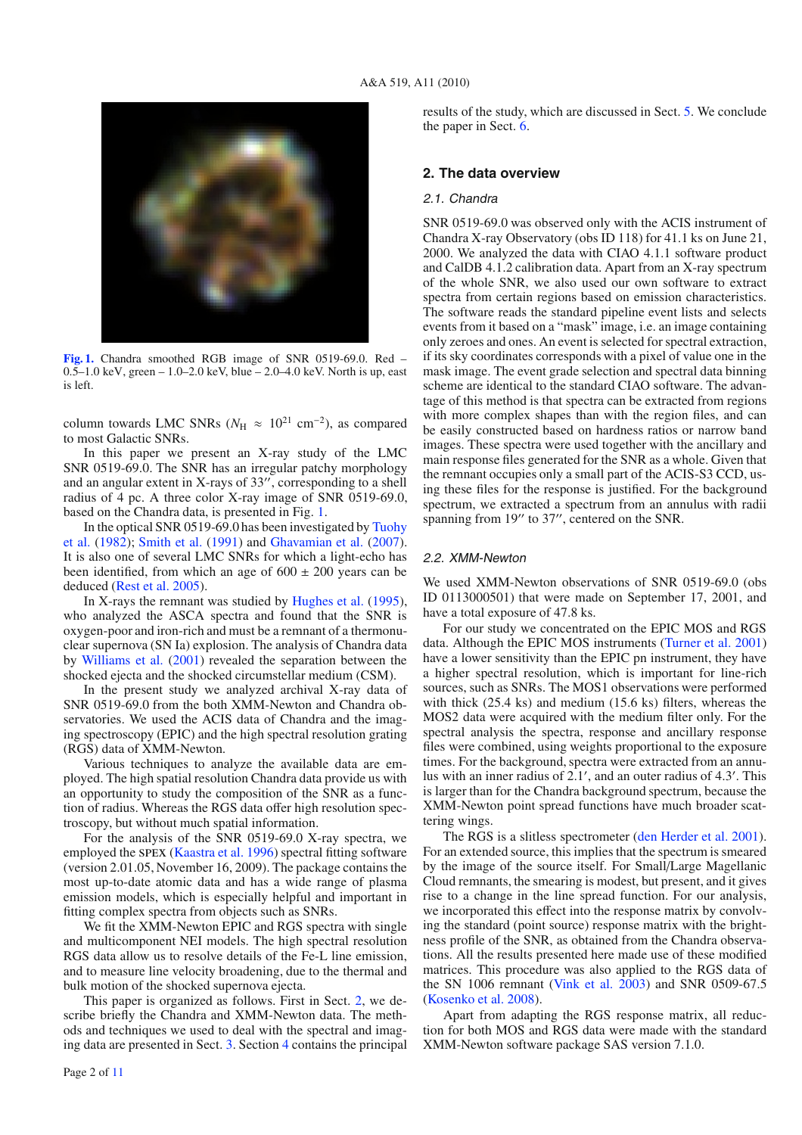<span id="page-1-0"></span>

**[Fig. 1.](http://dexter.edpsciences.org/applet.php?DOI=10.1051/0004-6361/200913903&pdf_id=1)** Chandra smoothed RGB image of SNR 0519-69.0. Red – 0.5–1.0 keV, green – 1.0–2.0 keV, blue – 2.0–4.0 keV. North is up, east is left.

column towards LMC SNRs ( $N_{\rm H} \approx 10^{21}$  cm<sup>-2</sup>), as compared to most Galactic SNRs.

In this paper we present an X-ray study of the LMC SNR 0519-69.0. The SNR has an irregular patchy morphology and an angular extent in X-rays of  $33''$ , corresponding to a shell radius of 4 pc. A three color X-ray image of SNR 0519-69.0, based on the Chandra data, is presented in Fig. [1.](#page-1-0)

I[n the optical SNR 0519-69.0 has been investigated by](#page-10-12) Tuohy et al. [\(1982\)](#page-10-12); [Smith et al.](#page-10-13) [\(1991\)](#page-10-13) and [Ghavamian et al.](#page-10-14) [\(2007](#page-10-14)). It is also one of several LMC SNRs for which a light-echo has been identified, from which an age of  $600 \pm 200$  years can be deduced [\(Rest et al. 2005](#page-10-15)).

In X-rays the remnant was studied by [Hughes et al.](#page-10-16) [\(1995](#page-10-16)), who analyzed the ASCA spectra and found that the SNR is oxygen-poor and iron-rich and must be a remnant of a thermonuclear supernova (SN Ia) explosion. The analysis of Chandra data by [Williams et al.](#page-10-17) [\(2001](#page-10-17)) revealed the separation between the shocked ejecta and the shocked circumstellar medium (CSM).

In the present study we analyzed archival X-ray data of SNR 0519-69.0 from the both XMM-Newton and Chandra observatories. We used the ACIS data of Chandra and the imaging spectroscopy (EPIC) and the high spectral resolution grating (RGS) data of XMM-Newton.

Various techniques to analyze the available data are employed. The high spatial resolution Chandra data provide us with an opportunity to study the composition of the SNR as a function of radius. Whereas the RGS data offer high resolution spectroscopy, but without much spatial information.

For the analysis of the SNR 0519-69.0 X-ray spectra, we employed the spex [\(Kaastra et al. 1996](#page-10-18)) spectral fitting software (version 2.01.05, November 16, 2009). The package contains the most up-to-date atomic data and has a wide range of plasma emission models, which is especially helpful and important in fitting complex spectra from objects such as SNRs.

We fit the XMM-Newton EPIC and RGS spectra with single and multicomponent NEI models. The high spectral resolution RGS data allow us to resolve details of the Fe-L line emission, and to measure line velocity broadening, due to the thermal and bulk motion of the shocked supernova ejecta.

This paper is organized as follows. First in Sect. [2,](#page-1-1) we describe briefly the Chandra and XMM-Newton data. The methods and techniques we used to deal with the spectral and imaging data are presented in Sect. [3.](#page-2-0) Section [4](#page-5-0) contains the principal

results of the study, which are discussed in Sect. [5.](#page-6-0) We conclude the paper in Sect. [6.](#page-9-0)

# <span id="page-1-1"></span>**2. The data overview**

# 2.1. Chandra

SNR 0519-69.0 was observed only with the ACIS instrument of Chandra X-ray Observatory (obs ID 118) for 41.1 ks on June 21, 2000. We analyzed the data with CIAO 4.1.1 software product and CalDB 4.1.2 calibration data. Apart from an X-ray spectrum of the whole SNR, we also used our own software to extract spectra from certain regions based on emission characteristics. The software reads the standard pipeline event lists and selects events from it based on a "mask" image, i.e. an image containing only zeroes and ones. An event is selected for spectral extraction, if its sky coordinates corresponds with a pixel of value one in the mask image. The event grade selection and spectral data binning scheme are identical to the standard CIAO software. The advantage of this method is that spectra can be extracted from regions with more complex shapes than with the region files, and can be easily constructed based on hardness ratios or narrow band images. These spectra were used together with the ancillary and main response files generated for the SNR as a whole. Given that the remnant occupies only a small part of the ACIS-S3 CCD, using these files for the response is justified. For the background spectrum, we extracted a spectrum from an annulus with radii spanning from 19" to 37", centered on the SNR.

# 2.2. XMM-Newton

We used XMM-Newton observations of SNR 0519-69.0 (obs ID 0113000501) that were made on September 17, 2001, and have a total exposure of 47.8 ks.

For our study we concentrated on the EPIC MOS and RGS data. Although the EPIC MOS instruments [\(Turner et al. 2001\)](#page-10-19) have a lower sensitivity than the EPIC pn instrument, they have a higher spectral resolution, which is important for line-rich sources, such as SNRs. The MOS1 observations were performed with thick (25.4 ks) and medium (15.6 ks) filters, whereas the MOS2 data were acquired with the medium filter only. For the spectral analysis the spectra, response and ancillary response files were combined, using weights proportional to the exposure times. For the background, spectra were extracted from an annulus with an inner radius of 2.1 , and an outer radius of 4.3 . This is larger than for the Chandra background spectrum, because the XMM-Newton point spread functions have much broader scattering wings.

The RGS is a slitless spectrometer [\(den Herder et al. 2001](#page-10-20)). For an extended source, this implies that the spectrum is smeared by the image of the source itself. For Small/Large Magellanic Cloud remnants, the smearing is modest, but present, and it gives rise to a change in the line spread function. For our analysis, we incorporated this effect into the response matrix by convolving the standard (point source) response matrix with the brightness profile of the SNR, as obtained from the Chandra observations. All the results presented here made use of these modified matrices. This procedure was also applied to the RGS data of the SN 1006 remnant [\(Vink et al. 2003](#page-10-21)) and SNR 0509-67.5 [\(Kosenko et al. 2008\)](#page-10-22).

Apart from adapting the RGS response matrix, all reduction for both MOS and RGS data were made with the standard XMM-Newton software package SAS version 7.1.0.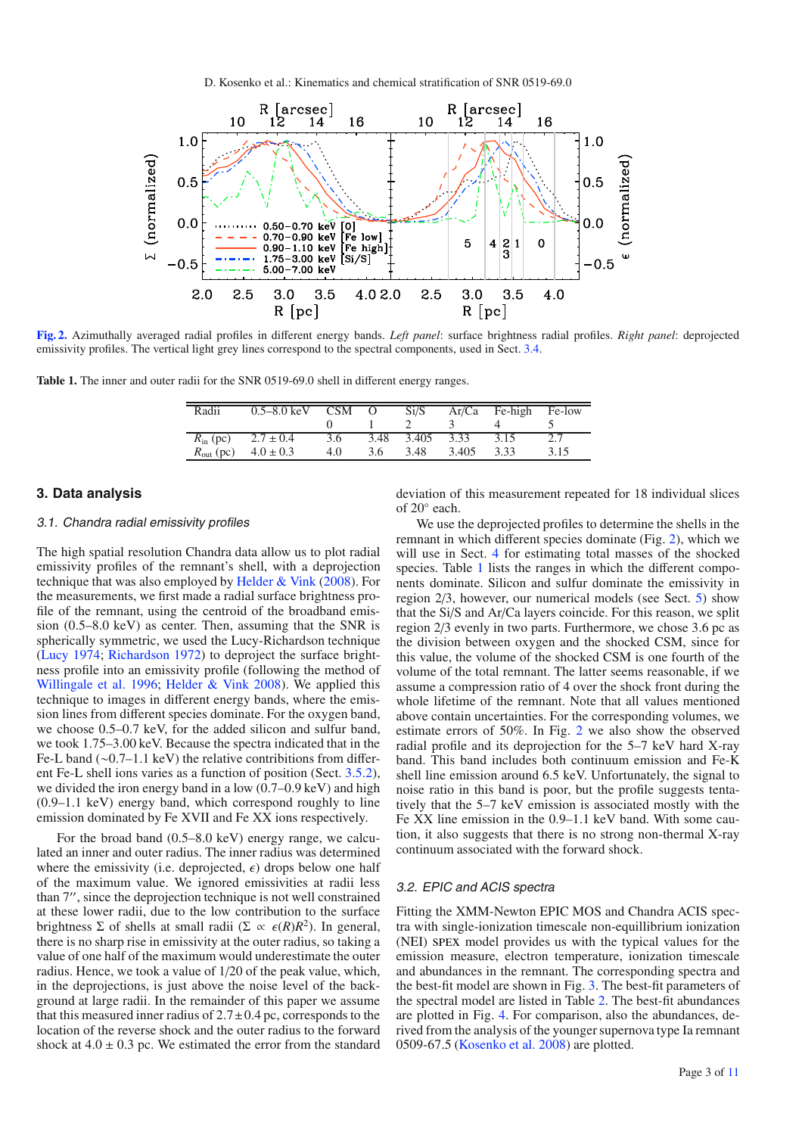D. Kosenko et al.: Kinematics and chemical stratification of SNR 0519-69.0

<span id="page-2-1"></span>

<span id="page-2-2"></span>**[Fig. 2.](http://dexter.edpsciences.org/applet.php?DOI=10.1051/0004-6361/200913903&pdf_id=2)** Azimuthally averaged radial profiles in different energy bands. *Left panel*: surface brightness radial profiles. *Right panel*: deprojected emissivity profiles. The vertical light grey lines correspond to the spectral components, used in Sect. [3.4.](#page-4-0)

**Table 1.** The inner and outer radii for the SNR 0519-69.0 shell in different energy ranges.

| Radii                 | $0.5 - 8.0 \text{ keV}$ | <b>CSM</b> | $\Omega$ | Si/S  | Ar/Ca | Fe-high | Fe-low |
|-----------------------|-------------------------|------------|----------|-------|-------|---------|--------|
|                       |                         |            |          |       |       |         |        |
| $R_{\rm in}$ (pc)     | $2.7 \pm 0.4$           | 3.6        | 3.48     | 3.405 | 3.33  | 3.15    | 27     |
| $R_{\text{out}}$ (pc) | $4.0 \pm 0.3$           | 4.0        | 3.6      | 3.48  | 3.405 | 3.33    | 3.15   |

# <span id="page-2-3"></span><span id="page-2-0"></span>**3. Data analysis**

# 3.1. Chandra radial emissivity profiles

The high spatial resolution Chandra data allow us to plot radial emissivity profiles of the remnant's shell, with a deprojection technique that was also employed by [Helder & Vink](#page-10-23) [\(2008](#page-10-23)). For the measurements, we first made a radial surface brightness profile of the remnant, using the centroid of the broadband emission (0.5–8.0 keV) as center. Then, assuming that the SNR is spherically symmetric, we used the Lucy-Richardson technique [\(Lucy 1974](#page-10-24); [Richardson 1972](#page-10-25)) to deproject the surface brightness profile into an emissivity profile (following the method of [Willingale et al. 1996;](#page-10-26) [Helder & Vink 2008\)](#page-10-23). We applied this technique to images in different energy bands, where the emission lines from different species dominate. For the oxygen band, we choose 0.5–0.7 keV, for the added silicon and sulfur band, we took 1.75–3.00 keV. Because the spectra indicated that in the Fe-L band (∼0.7–1.1 keV) the relative contribitions from different Fe-L shell ions varies as a function of position (Sect. [3.5.2\)](#page-5-1), we divided the iron energy band in a low  $(0.7-0.9 \text{ keV})$  and high (0.9–1.1 keV) energy band, which correspond roughly to line emission dominated by Fe XVII and Fe XX ions respectively.

For the broad band (0.5–8.0 keV) energy range, we calculated an inner and outer radius. The inner radius was determined where the emissivity (i.e. deprojected,  $\epsilon$ ) drops below one half of the maximum value. We ignored emissivities at radii less than 7", since the deprojection technique is not well constrained at these lower radii, due to the low contribution to the surface brightness Σ of shells at small radii (Σ  $\propto \epsilon(R)R^2$ ). In general, there is no sharp rise in emissivity at the outer radius, so taking a value of one half of the maximum would underestimate the outer radius. Hence, we took a value of 1/20 of the peak value, which, in the deprojections, is just above the noise level of the background at large radii. In the remainder of this paper we assume that this measured inner radius of  $2.7 \pm 0.4$  pc, corresponds to the location of the reverse shock and the outer radius to the forward shock at  $4.0 \pm 0.3$  pc. We estimated the error from the standard

deviation of this measurement repeated for 18 individual slices of 20◦ each.

We use the deprojected profiles to determine the shells in the remnant in which different species dominate (Fig. [2\)](#page-2-1), which we will use in Sect. [4](#page-5-0) for estimating total masses of the shocked species. Table [1](#page-2-2) lists the ranges in which the different components dominate. Silicon and sulfur dominate the emissivity in region 2/3, however, our numerical models (see Sect. [5\)](#page-6-0) show that the Si/S and Ar/Ca layers coincide. For this reason, we split region 2/3 evenly in two parts. Furthermore, we chose 3.6 pc as the division between oxygen and the shocked CSM, since for this value, the volume of the shocked CSM is one fourth of the volume of the total remnant. The latter seems reasonable, if we assume a compression ratio of 4 over the shock front during the whole lifetime of the remnant. Note that all values mentioned above contain uncertainties. For the corresponding volumes, we estimate errors of 50%. In Fig. [2](#page-2-1) we also show the observed radial profile and its deprojection for the 5–7 keV hard X-ray band. This band includes both continuum emission and Fe-K shell line emission around 6.5 keV. Unfortunately, the signal to noise ratio in this band is poor, but the profile suggests tentatively that the 5–7 keV emission is associated mostly with the Fe XX line emission in the 0.9–1.1 keV band. With some caution, it also suggests that there is no strong non-thermal X-ray continuum associated with the forward shock.

# 3.2. EPIC and ACIS spectra

Fitting the XMM-Newton EPIC MOS and Chandra ACIS spectra with single-ionization timescale non-equillibrium ionization (NEI) spex model provides us with the typical values for the emission measure, electron temperature, ionization timescale and abundances in the remnant. The corresponding spectra and the best-fit model are shown in Fig. [3.](#page-3-0) The best-fit parameters of the spectral model are listed in Table [2.](#page-3-1) The best-fit abundances are plotted in Fig. [4.](#page-3-2) For comparison, also the abundances, derived from the analysis of the younger supernova type Ia remnant 0509-67.5 [\(Kosenko et al. 2008\)](#page-10-22) are plotted.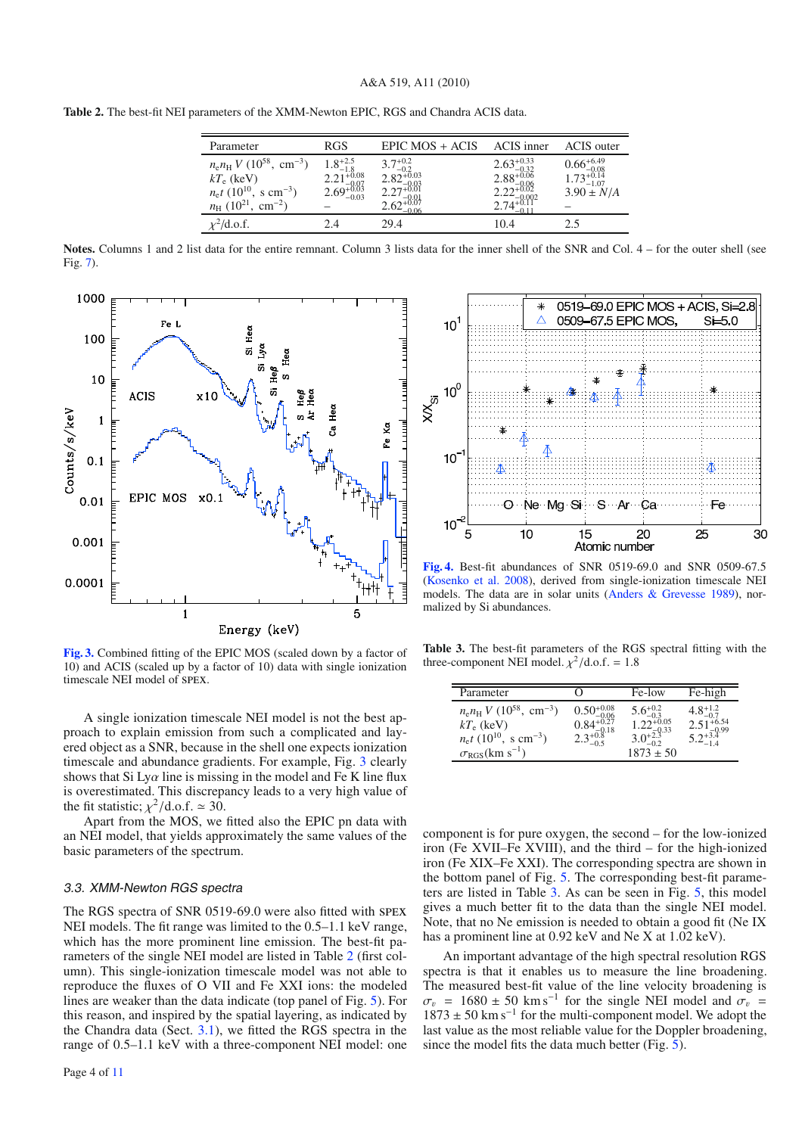<span id="page-3-1"></span>

|  |  | Table 2. The best-fit NEI parameters of the XMM-Newton EPIC, RGS and Chandra ACIS data. |  |  |  |  |
|--|--|-----------------------------------------------------------------------------------------|--|--|--|--|
|--|--|-----------------------------------------------------------------------------------------|--|--|--|--|

| Parameter                                                     | <b>RGS</b>                                    | EPIC MOS + ACIS                       | ACIS inner                                      | <b>ACIS</b> outer                                |
|---------------------------------------------------------------|-----------------------------------------------|---------------------------------------|-------------------------------------------------|--------------------------------------------------|
| $n_{\rm e}n_{\rm H}$ V (10 <sup>58</sup> , cm <sup>-3</sup> ) | $1.8^{+2.5}_{-1.8}$<br>$2.21^{+0.08}_{-0.07}$ | $3.7^{+0.2}_{-0.2}$<br>$2.82^{+0.03}$ | $2.63_{-0.32}^{+0.33}$<br>2.88 <sup>+0.06</sup> | $0.66^{+6.49}_{-0.08}$<br>$1.73^{+0.14}_{-1.07}$ |
| $kT_e$ (keV)                                                  |                                               |                                       |                                                 |                                                  |
| $n_{\rm e}t$ (10 <sup>10</sup> , s cm <sup>-3</sup> )         | $2.69_{+0.03}^{-0.07}$                        |                                       |                                                 | $3.90 \pm N/A$                                   |
| $n_{\rm H}$ (10 <sup>21</sup> , cm <sup>-2</sup> )            |                                               |                                       |                                                 |                                                  |
| $\chi^2$ /d.o.f.                                              |                                               | 29.4                                  | 10.4                                            | ? 5                                              |

**Notes.** Columns 1 and 2 list data for the entire remnant. Column 3 lists data for the inner shell of the SNR and Col. 4 – for the outer shell (see Fig. [7\)](#page-5-2).

<span id="page-3-0"></span>

**[Fig. 3.](http://dexter.edpsciences.org/applet.php?DOI=10.1051/0004-6361/200913903&pdf_id=3)** Combined fitting of the EPIC MOS (scaled down by a factor of 10) and ACIS (scaled up by a factor of 10) data with single ionization timescale NEI model of spex.

A single ionization timescale NEI model is not the best approach to explain emission from such a complicated and layered object as a SNR, because in the shell one expects ionization timescale and abundance gradients. For example, Fig. [3](#page-3-0) clearly shows that Si Ly $\alpha$  line is missing in the model and Fe K line flux is overestimated. This discrepancy leads to a very high value of the fit statistic;  $\chi^2$ /d.o.f.  $\simeq$  30.

Apart from the MOS, we fitted also the EPIC pn data with an NEI model, that yields approximately the same values of the basic parameters of the spectrum.

#### <span id="page-3-4"></span>3.3. XMM-Newton RGS spectra

The RGS spectra of SNR 0519-69.0 were also fitted with spex NEI models. The fit range was limited to the 0.5–1.1 keV range, which has the more prominent line emission. The best-fit parameters of the single NEI model are listed in Table [2](#page-3-1) (first column). This single-ionization timescale model was not able to reproduce the fluxes of O VII and Fe XXI ions: the modeled lines are weaker than the data indicate (top panel of Fig. [5\)](#page-4-1). For this reason, and inspired by the spatial layering, as indicated by the Chandra data (Sect. [3.1\)](#page-2-3), we fitted the RGS spectra in the range of 0.5–1.1 keV with a three-component NEI model: one

<span id="page-3-2"></span>

<span id="page-3-3"></span>**[Fig. 4.](http://dexter.edpsciences.org/applet.php?DOI=10.1051/0004-6361/200913903&pdf_id=4)** Best-fit abundances of SNR 0519-69.0 and SNR 0509-67.5 [\(Kosenko et al. 2008](#page-10-22)), derived from single-ionization timescale NEI models. The data are in solar units [\(Anders & Grevesse 1989](#page-10-27)), normalized by Si abundances.

**Table 3.** The best-fit parameters of the RGS spectral fitting with the three-component NEI model.  $\chi^2$ /d.o.f. = 1.8

| Parameter                                                                                                                                                                          |                                                                                | Fe-low                                                                                                                                                 | Fe-high                                       |
|------------------------------------------------------------------------------------------------------------------------------------------------------------------------------------|--------------------------------------------------------------------------------|--------------------------------------------------------------------------------------------------------------------------------------------------------|-----------------------------------------------|
| $n_{\rm e}n_{\rm H}$ V (10 <sup>58</sup> , cm <sup>-3</sup> )<br>$kT_e$ (keV)<br>$n_{\rm e}t$ (10 <sup>10</sup> , s cm <sup>-3</sup> )<br>$\sigma_{\rm RGS}$ (km s <sup>-1</sup> ) | $\substack{0.50^{+0.08}_{-0.06} \\ 0.84^{+0.27}_{-0.18} \\ 2.3^{+0.8}_{-0.5}}$ | $\underset{-0.2}{\overset{5.6+0.2}{\underset{-0.3}{\phantom{}}}}\, \underset{-0.2}{\overset{5.6+0.2}{\underset{-0.3}{\phantom{}}}}\,$<br>$1873 \pm 50$ | $4.8^{+1.2}_{-0.7}$<br>$2.51^{+6.54}_{-0.00}$ |

component is for pure oxygen, the second – for the low-ionized iron (Fe XVII–Fe XVIII), and the third – for the high-ionized iron (Fe XIX–Fe XXI). The corresponding spectra are shown in the bottom panel of Fig. [5.](#page-4-1) The corresponding best-fit parameters are listed in Table [3.](#page-3-3) As can be seen in Fig. [5,](#page-4-1) this model gives a much better fit to the data than the single NEI model. Note, that no Ne emission is needed to obtain a good fit (Ne IX has a prominent line at 0.92 keV and Ne X at 1.02 keV).

An important advantage of the high spectral resolution RGS spectra is that it enables us to measure the line broadening. The measured best-fit value of the line velocity broadening is  $\sigma_v$  = 1680 ± 50 km s<sup>-1</sup> for the single NEI model and  $\sigma_v$  =  $1873 \pm 50$  km s<sup>-1</sup> for the multi-component model. We adopt the last value as the most reliable value for the Doppler broadening, since the model fits the data much better (Fig. [5\)](#page-4-1).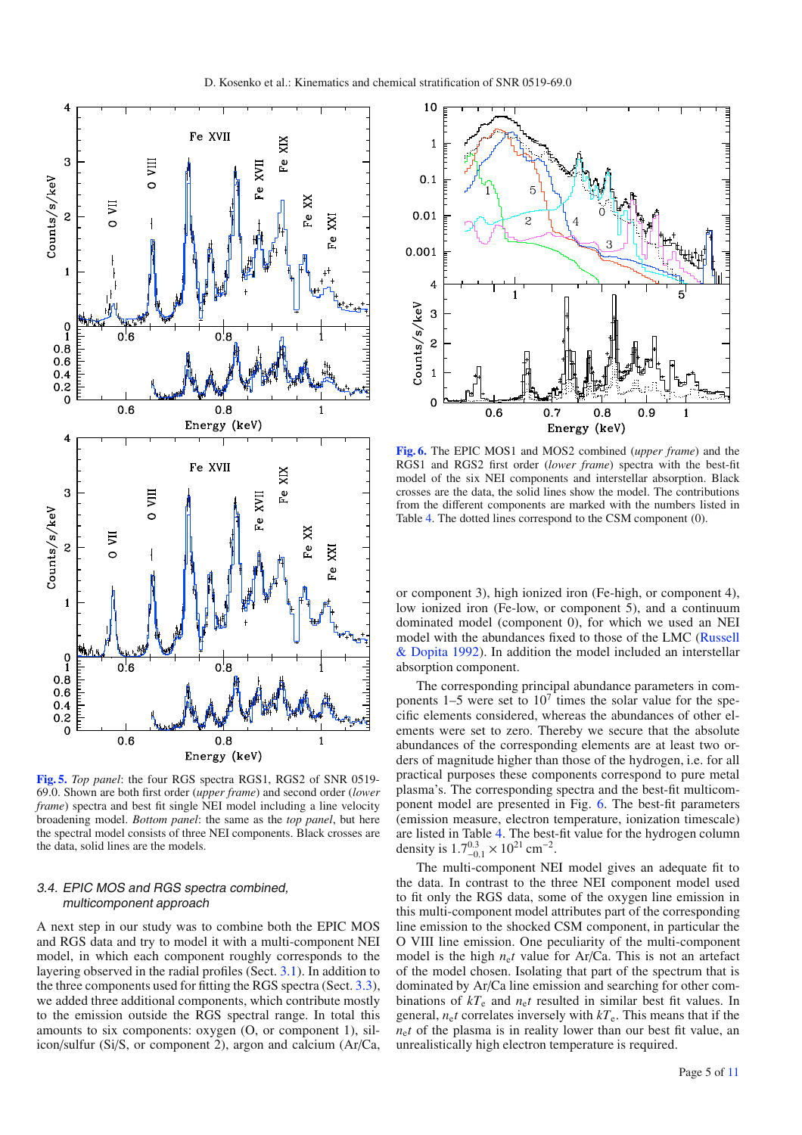

<span id="page-4-1"></span>**[Fig. 5.](http://dexter.edpsciences.org/applet.php?DOI=10.1051/0004-6361/200913903&pdf_id=5)** *Top panel*: the four RGS spectra RGS1, RGS2 of SNR 0519- 69.0. Shown are both first order (*upper frame*) and second order (*lower frame*) spectra and best fit single NEI model including a line velocity broadening model. *Bottom panel*: the same as the *top panel*, but here the spectral model consists of three NEI components. Black crosses are the data, solid lines are the models.

# <span id="page-4-0"></span>3.4. EPIC MOS and RGS spectra combined, multicomponent approach

A next step in our study was to combine both the EPIC MOS and RGS data and try to model it with a multi-component NEI model, in which each component roughly corresponds to the layering observed in the radial profiles (Sect. [3.1\)](#page-2-3). In addition to the three components used for fitting the RGS spectra (Sect. [3.3\)](#page-3-4), we added three additional components, which contribute mostly to the emission outside the RGS spectral range. In total this amounts to six components: oxygen (O, or component 1), silicon/sulfur (Si/S, or component 2), argon and calcium (Ar/Ca,

<span id="page-4-2"></span>

**[Fig. 6.](http://dexter.edpsciences.org/applet.php?DOI=10.1051/0004-6361/200913903&pdf_id=6)** The EPIC MOS1 and MOS2 combined (*upper frame*) and the RGS1 and RGS2 first order (*lower frame*) spectra with the best-fit model of the six NEI components and interstellar absorption. Black crosses are the data, the solid lines show the model. The contributions from the different components are marked with the numbers listed in Table [4.](#page-5-3) The dotted lines correspond to the CSM component (0).

or component 3), high ionized iron (Fe-high, or component 4), low ionized iron (Fe-low, or component 5), and a continuum dominated model (component 0), for which we used an NEI model wi[th the abundances fixed to those of the LMC \(](#page-10-28)Russell & Dopita [1992\)](#page-10-28). In addition the model included an interstellar absorption component.

The corresponding principal abundance parameters in components  $1-5$  were set to  $10<sup>7</sup>$  times the solar value for the specific elements considered, whereas the abundances of other elements were set to zero. Thereby we secure that the absolute abundances of the corresponding elements are at least two orders of magnitude higher than those of the hydrogen, i.e. for all practical purposes these components correspond to pure metal plasma's. The corresponding spectra and the best-fit multicomponent model are presented in Fig. [6.](#page-4-2) The best-fit parameters (emission measure, electron temperature, ionization timescale) are listed in Table [4.](#page-5-3) The best-fit value for the hydrogen column density is  $1.7^{0.3}_{-0.1} \times 10^{21}$  cm<sup>-2</sup>.

The multi-component NEI model gives an adequate fit to the data. In contrast to the three NEI component model used to fit only the RGS data, some of the oxygen line emission in this multi-component model attributes part of the corresponding line emission to the shocked CSM component, in particular the O VIII line emission. One peculiarity of the multi-component model is the high  $n<sub>e</sub>t$  value for Ar/Ca. This is not an artefact of the model chosen. Isolating that part of the spectrum that is dominated by Ar/Ca line emission and searching for other combinations of *kT*<sup>e</sup> and *n*e*t* resulted in similar best fit values. In general,  $n_e t$  correlates inversely with  $kT_e$ . This means that if the *n*e*t* of the plasma is in reality lower than our best fit value, an unrealistically high electron temperature is required.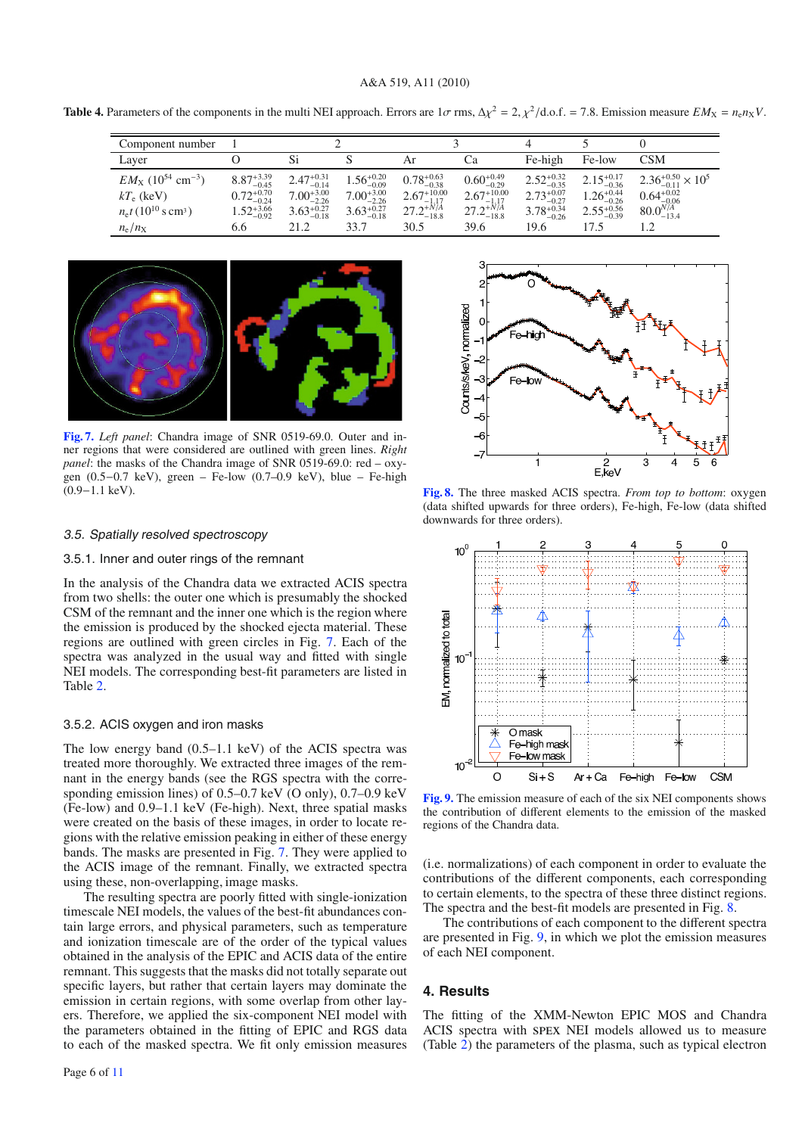<span id="page-5-3"></span>**Table 4.** Parameters of the components in the multi NEI approach. Errors are  $1\sigma$  rms,  $\Delta \chi^2 = 2$ ,  $\chi^2/\text{d.o.f.} = 7.8$ . Emission measure  $EM_X = n_e n_X V$ .

| Component number                                  |                        |                        |                        |                         |                         |                        |                        |                                                                |
|---------------------------------------------------|------------------------|------------------------|------------------------|-------------------------|-------------------------|------------------------|------------------------|----------------------------------------------------------------|
| Layer                                             |                        |                        |                        | Ar                      | Cа                      | Fe-high                | Fe-low                 | CSM                                                            |
| $EM_{\rm X}$ (10 <sup>54</sup> cm <sup>-3</sup> ) | $8.87^{+3.39}_{-0.45}$ | $2.47^{+0.31}_{-0.14}$ | $1.56_{-0.09}^{+0.20}$ | $0.78_{-0.38}^{+0.63}$  | $0.60_{-0.29}^{+0.49}$  | $2.52_{-0.35}^{+0.32}$ | $2.15_{-0.36}^{+0.17}$ | $2.36_{-0.11}^{+0.50} \times 10^5$                             |
| $kT_e$ (keV)                                      | $0.72_{-0.24}^{+0.70}$ | $7.00_{-2.26}^{+3.00}$ | $7.00_{-2.26}^{+3.00}$ | $2.67^{+10.00}_{-1.17}$ | $2.67^{+10.00}_{-1.17}$ | $2.73_{-0.27}^{+0.07}$ | $1.26_{-0.26}^{+0.44}$ |                                                                |
| $n_e t (10^{10} \text{ s cm}^3)$                  | $1.52_{-0.92}^{+3.66}$ | $3.63_{-0.18}^{+0.27}$ | $3.63_{-0.18}^{+0.27}$ | $27.2^{+N/A}_{-18.8}$   | $27.2^{+N/\AA}_{-18.8}$ | $3.78_{-0.26}^{+0.34}$ | $2.55_{-0.39}^{+0.56}$ | $0.64^{+0.02}_{-0.06}$<br>80.0 <sup>N/A</sup> <sub>-13.4</sub> |
| $n_e/n_X$                                         | 6.6                    | 21.2                   | 33.7                   | 30.5                    | 39.6                    | 19.6                   | 17.5                   |                                                                |

<span id="page-5-2"></span>

**[Fig. 7.](http://dexter.edpsciences.org/applet.php?DOI=10.1051/0004-6361/200913903&pdf_id=7)** *Left panel*: Chandra image of SNR 0519-69.0. Outer and inner regions that were considered are outlined with green lines. *Right panel*: the masks of the Chandra image of SNR 0519-69.0: red – oxygen (0.5−0.7 keV), green – Fe-low (0.7–0.9 keV), blue – Fe-high (0.9−1.1 keV).

# 3.5. Spatially resolved spectroscopy

# 3.5.1. Inner and outer rings of the remnant

In the analysis of the Chandra data we extracted ACIS spectra from two shells: the outer one which is presumably the shocked CSM of the remnant and the inner one which is the region where the emission is produced by the shocked ejecta material. These regions are outlined with green circles in Fig. [7.](#page-5-2) Each of the spectra was analyzed in the usual way and fitted with single NEI models. The corresponding best-fit parameters are listed in Table [2.](#page-3-1)

# <span id="page-5-1"></span>3.5.2. ACIS oxygen and iron masks

The low energy band (0.5–1.1 keV) of the ACIS spectra was treated more thoroughly. We extracted three images of the remnant in the energy bands (see the RGS spectra with the corresponding emission lines) of 0.5–0.7 keV (O only), 0.7–0.9 keV (Fe-low) and 0.9–1.1 keV (Fe-high). Next, three spatial masks were created on the basis of these images, in order to locate regions with the relative emission peaking in either of these energy bands. The masks are presented in Fig. [7.](#page-5-2) They were applied to the ACIS image of the remnant. Finally, we extracted spectra using these, non-overlapping, image masks.

The resulting spectra are poorly fitted with single-ionization timescale NEI models, the values of the best-fit abundances contain large errors, and physical parameters, such as temperature and ionization timescale are of the order of the typical values obtained in the analysis of the EPIC and ACIS data of the entire remnant. This suggests that the masks did not totally separate out specific layers, but rather that certain layers may dominate the emission in certain regions, with some overlap from other layers. Therefore, we applied the six-component NEI model with the parameters obtained in the fitting of EPIC and RGS data to each of the masked spectra. We fit only emission measures

<span id="page-5-4"></span>

**[Fig. 8.](http://dexter.edpsciences.org/applet.php?DOI=10.1051/0004-6361/200913903&pdf_id=8)** The three masked ACIS spectra. *From top to bottom*: oxygen (data shifted upwards for three orders), Fe-high, Fe-low (data shifted downwards for three orders).

<span id="page-5-5"></span>

**[Fig. 9.](http://dexter.edpsciences.org/applet.php?DOI=10.1051/0004-6361/200913903&pdf_id=9)** The emission measure of each of the six NEI components shows the contribution of different elements to the emission of the masked regions of the Chandra data.

(i.e. normalizations) of each component in order to evaluate the contributions of the different components, each corresponding to certain elements, to the spectra of these three distinct regions. The spectra and the best-fit models are presented in Fig. [8.](#page-5-4)

The contributions of each component to the different spectra are presented in Fig. [9,](#page-5-5) in which we plot the emission measures of each NEI component.

# <span id="page-5-0"></span>**4. Results**

The fitting of the XMM-Newton EPIC MOS and Chandra ACIS spectra with spex NEI models allowed us to measure (Table [2\)](#page-3-1) the parameters of the plasma, such as typical electron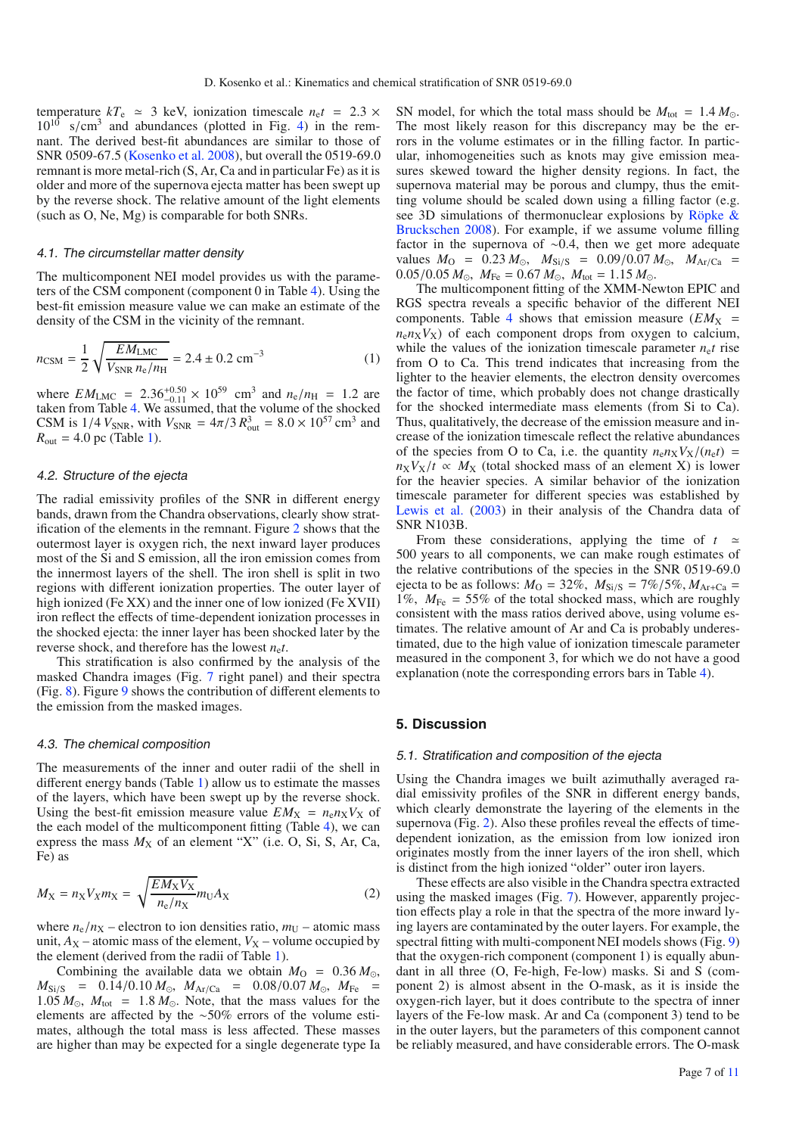temperature  $kT_e \approx 3$  keV, ionization timescale  $n_e t = 2.3 \times$  $10^{10}$  s/cm<sup>3</sup> and abundances (plotted in Fig. [4\)](#page-3-2) in the remnant. The derived best-fit abundances are similar to those of SNR 0509-67.5 [\(Kosenko et al. 2008](#page-10-22)), but overall the 0519-69.0 remnant is more metal-rich (S, Ar, Ca and in particular Fe) as it is older and more of the supernova ejecta matter has been swept up by the reverse shock. The relative amount of the light elements (such as O, Ne, Mg) is comparable for both SNRs.

#### 4.1. The circumstellar matter density

The multicomponent NEI model provides us with the parameters of the CSM component (component 0 in Table [4\)](#page-5-3). Using the best-fit emission measure value we can make an estimate of the density of the CSM in the vicinity of the remnant.

$$
n_{\text{CSM}} = \frac{1}{2} \sqrt{\frac{EM_{\text{LMC}}}{V_{\text{SNR}} n_{\text{e}} / n_{\text{H}}}} = 2.4 \pm 0.2 \text{ cm}^{-3}
$$
 (1)

where  $EM_{LMC} = 2.36_{-0.11}^{+0.50} \times 10^{59}$  cm<sup>3</sup> and  $n_e/n_H = 1.2$  are taken from Table [4.](#page-5-3) We assumed, that the volume of the shocked CSM is  $1/4$   $V_{SNR}$ , with  $V_{SNR} = 4\pi/3 R_{out}^3 = 8.0 \times 10^{57}$  cm<sup>3</sup> and  $R_{\text{out}} = 4.0 \text{ pc}$  (Table [1\)](#page-2-2).

#### 4.2. Structure of the ejecta

The radial emissivity profiles of the SNR in different energy bands, drawn from the Chandra observations, clearly show stratification of the elements in the remnant. Figure [2](#page-2-1) shows that the outermost layer is oxygen rich, the next inward layer produces most of the Si and S emission, all the iron emission comes from the innermost layers of the shell. The iron shell is split in two regions with different ionization properties. The outer layer of high ionized (Fe XX) and the inner one of low ionized (Fe XVII) iron reflect the effects of time-dependent ionization processes in the shocked ejecta: the inner layer has been shocked later by the reverse shock, and therefore has the lowest  $n<sub>e</sub>t$ .

This stratification is also confirmed by the analysis of the masked Chandra images (Fig. [7](#page-5-2) right panel) and their spectra (Fig. [8\)](#page-5-4). Figure [9](#page-5-5) shows the contribution of different elements to the emission from the masked images.

#### <span id="page-6-1"></span>4.3. The chemical composition

The measurements of the inner and outer radii of the shell in different energy bands (Table [1\)](#page-2-2) allow us to estimate the masses of the layers, which have been swept up by the reverse shock. Using the best-fit emission measure value  $EM_X = n_e n_X V_X$  of the each model of the multicomponent fitting (Table [4\)](#page-5-3), we can express the mass  $M_X$  of an element "X" (i.e. O, Si, S, Ar, Ca, Fe) as

$$
M_X = n_X V_X m_X = \sqrt{\frac{EM_X V_X}{n_e/n_X}} m_U A_X
$$
 (2)

where  $n_e/n_X$  – electron to ion densities ratio,  $m_U$  – atomic mass unit,  $A_X$  – atomic mass of the element,  $V_X$  – volume occupied by the element (derived from the radii of Table [1\)](#page-2-2).

Combining the available data we obtain  $M_{\Omega} = 0.36 M_{\odot}$ ,  $M_{\text{Si/S}}$  = 0.14/0.10  $M_{\odot}$ ,  $M_{\text{Ar/Ca}}$  = 0.08/0.07  $M_{\odot}$ ,  $M_{\text{Fe}}$  = 1.05  $M_{\odot}$ ,  $M_{\text{tot}} = 1.8 M_{\odot}$ . Note, that the mass values for the elements are affected by the ∼50% errors of the volume estimates, although the total mass is less affected. These masses are higher than may be expected for a single degenerate type Ia SN model, for which the total mass should be  $M_{\text{tot}} = 1.4 M_{\odot}$ . The most likely reason for this discrepancy may be the errors in the volume estimates or in the filling factor. In particular, inhomogeneities such as knots may give emission measures skewed toward the higher density regions. In fact, the supernova material may be porous and clumpy, thus the emitting volume should be scaled down using a filling factor (e.g. see 3D si[mulations of thermonuclear explosions by](#page-10-29) Röpke & Bruckschen [2008](#page-10-29)). For example, if we assume volume filling factor in the supernova of ∼0.4, then we get more adequate values  $M_{\text{O}} = 0.23 M_{\odot}$ ,  $M_{\text{Si/S}} = 0.09/0.07 M_{\odot}$ ,  $M_{\text{Ar/Ca}} =$  $0.05/0.05 M_{\odot}$ ,  $M_{Fe} = 0.67 M_{\odot}$ ,  $M_{tot} = 1.15 M_{\odot}$ .

The multicomponent fitting of the XMM-Newton EPIC and RGS spectra reveals a specific behavior of the different NEI components. Table [4](#page-5-3) shows that emission measure  $(EM_X =$  $n_e n_X V_X$ ) of each component drops from oxygen to calcium, while the values of the ionization timescale parameter  $n<sub>e</sub>t$  rise from O to Ca. This trend indicates that increasing from the lighter to the heavier elements, the electron density overcomes the factor of time, which probably does not change drastically for the shocked intermediate mass elements (from Si to Ca). Thus, qualitatively, the decrease of the emission measure and increase of the ionization timescale reflect the relative abundances of the species from O to Ca, i.e. the quantity  $n_{e}n_{X}V_{X}/(n_{e}t)$  =  $n_X V_X/t \propto M_X$  (total shocked mass of an element X) is lower for the heavier species. A similar behavior of the ionization timescale parameter for different species was established by [Lewis et al.](#page-10-30) [\(2003](#page-10-30)) in their analysis of the Chandra data of SNR N103B.

From these considerations, applying the time of  $t \approx$ 500 years to all components, we can make rough estimates of the relative contributions of the species in the SNR 0519-69.0 ejecta to be as follows:  $M_{\rm O} = 32\%$ ,  $M_{\rm Si/S} = 7\%/5\%$ ,  $M_{\rm Ar+Ca} =$ 1%,  $M_{\text{Fe}} = 55\%$  of the total shocked mass, which are roughly consistent with the mass ratios derived above, using volume estimates. The relative amount of Ar and Ca is probably underestimated, due to the high value of ionization timescale parameter measured in the component 3, for which we do not have a good explanation (note the corresponding errors bars in Table [4\)](#page-5-3).

# <span id="page-6-0"></span>**5. Discussion**

#### 5.1. Stratification and composition of the ejecta

Using the Chandra images we built azimuthally averaged radial emissivity profiles of the SNR in different energy bands, which clearly demonstrate the layering of the elements in the supernova (Fig. [2\)](#page-2-1). Also these profiles reveal the effects of timedependent ionization, as the emission from low ionized iron originates mostly from the inner layers of the iron shell, which is distinct from the high ionized "older" outer iron layers.

These effects are also visible in the Chandra spectra extracted using the masked images (Fig. [7\)](#page-5-2). However, apparently projection effects play a role in that the spectra of the more inward lying layers are contaminated by the outer layers. For example, the spectral fitting with multi-component NEI models shows (Fig. [9\)](#page-5-5) that the oxygen-rich component (component 1) is equally abundant in all three (O, Fe-high, Fe-low) masks. Si and S (component 2) is almost absent in the O-mask, as it is inside the oxygen-rich layer, but it does contribute to the spectra of inner layers of the Fe-low mask. Ar and Ca (component 3) tend to be in the outer layers, but the parameters of this component cannot be reliably measured, and have considerable errors. The O-mask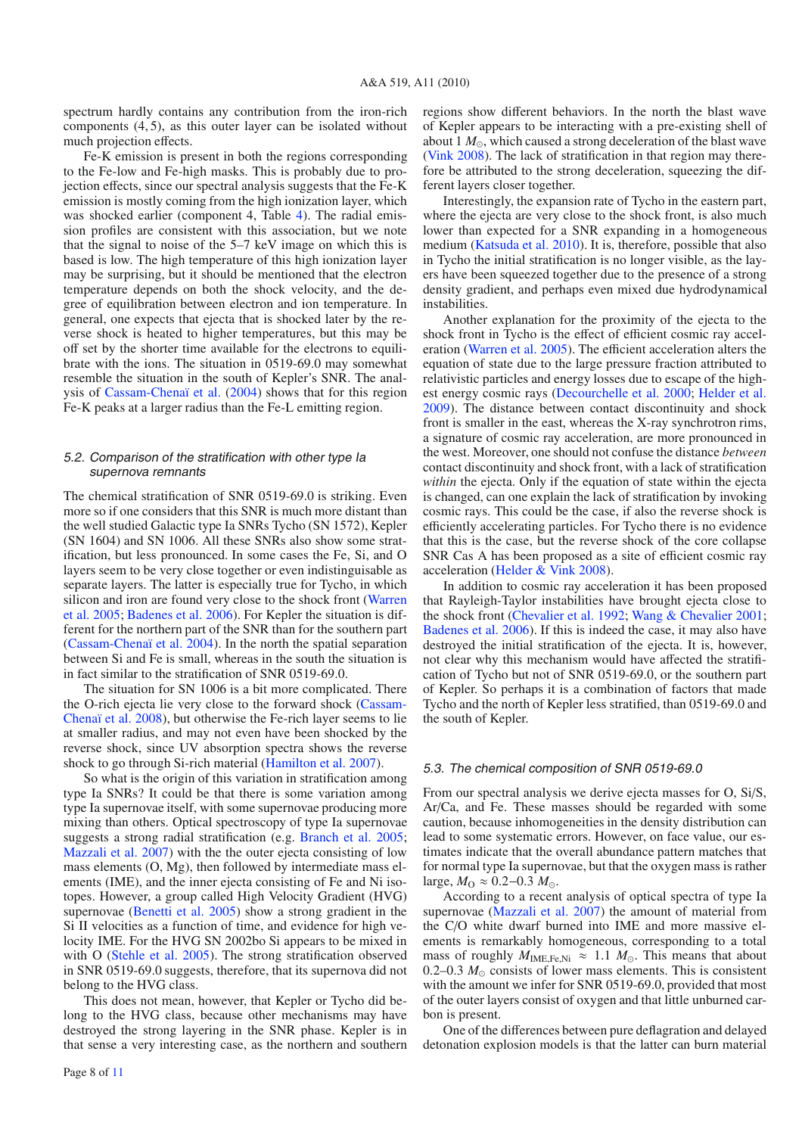spectrum hardly contains any contribution from the iron-rich components  $(4, 5)$ , as this outer layer can be isolated without much projection effects.

Fe-K emission is present in both the regions corresponding to the Fe-low and Fe-high masks. This is probably due to projection effects, since our spectral analysis suggests that the Fe-K emission is mostly coming from the high ionization layer, which was shocked earlier (component 4, Table [4\)](#page-5-3). The radial emission profiles are consistent with this association, but we note that the signal to noise of the 5–7 keV image on which this is based is low. The high temperature of this high ionization layer may be surprising, but it should be mentioned that the electron temperature depends on both the shock velocity, and the degree of equilibration between electron and ion temperature. In general, one expects that ejecta that is shocked later by the reverse shock is heated to higher temperatures, but this may be off set by the shorter time available for the electrons to equilibrate with the ions. The situation in 0519-69.0 may somewhat resemble the situation in the south of Kepler's SNR. The analysis of [Cassam-Chenaï et al.](#page-10-31) [\(2004\)](#page-10-31) shows that for this region Fe-K peaks at a larger radius than the Fe-L emitting region.

# <span id="page-7-0"></span>5.2. Comparison of the stratification with other type Ia supernova remnants

The chemical stratification of SNR 0519-69.0 is striking. Even more so if one considers that this SNR is much more distant than the well studied Galactic type Ia SNRs Tycho (SN 1572), Kepler (SN 1604) and SN 1006. All these SNRs also show some stratification, but less pronounced. In some cases the Fe, Si, and O layers seem to be very close together or even indistinguisable as separate layers. The latter is especially true for Tycho, in which silic[on and iron are found very](#page-10-32) close to the shock front (Warren et al. [2005](#page-10-32); [Badenes et al. 2006\)](#page-10-33). For Kepler the situation is different for the northern part of the SNR than for the southern part [\(Cassam-Chenaï et al. 2004\)](#page-10-31). In the north the spatial separation between Si and Fe is small, whereas in the south the situation is in fact similar to the stratification of SNR 0519-69.0.

The situation for SN 1006 is a bit more complicated. There the O-rich e[jecta lie very close to the forward shock \(](#page-10-34)Cassam-Chenaï et al. [2008](#page-10-34)), but otherwise the Fe-rich layer seems to lie at smaller radius, and may not even have been shocked by the reverse shock, since UV absorption spectra shows the reverse shock to go through Si-rich material [\(Hamilton et al. 2007](#page-10-35)).

So what is the origin of this variation in stratification among type Ia SNRs? It could be that there is some variation among type Ia supernovae itself, with some supernovae producing more mixing than others. Optical spectroscopy of type Ia supernovae suggests a strong radial stratification (e.g. [Branch et al. 2005](#page-10-36); [Mazzali et al. 2007](#page-10-37)) with the the outer ejecta consisting of low mass elements (O, Mg), then followed by intermediate mass elements (IME), and the inner ejecta consisting of Fe and Ni isotopes. However, a group called High Velocity Gradient (HVG) supernovae [\(Benetti et al. 2005](#page-10-38)) show a strong gradient in the Si II velocities as a function of time, and evidence for high velocity IME. For the HVG SN 2002bo Si appears to be mixed in with O [\(Stehle et al. 2005\)](#page-10-39). The strong stratification observed in SNR 0519-69.0 suggests, therefore, that its supernova did not belong to the HVG class.

This does not mean, however, that Kepler or Tycho did belong to the HVG class, because other mechanisms may have destroyed the strong layering in the SNR phase. Kepler is in that sense a very interesting case, as the northern and southern regions show different behaviors. In the north the blast wave of Kepler appears to be interacting with a pre-existing shell of about 1  $M_{\odot}$ , which caused a strong deceleration of the blast wave [\(Vink 2008](#page-10-40)). The lack of stratification in that region may therefore be attributed to the strong deceleration, squeezing the different layers closer together.

Interestingly, the expansion rate of Tycho in the eastern part, where the ejecta are very close to the shock front, is also much lower than expected for a SNR expanding in a homogeneous medium [\(Katsuda et al. 2010](#page-10-41)). It is, therefore, possible that also in Tycho the initial stratification is no longer visible, as the layers have been squeezed together due to the presence of a strong density gradient, and perhaps even mixed due hydrodynamical instabilities.

Another explanation for the proximity of the ejecta to the shock front in Tycho is the effect of efficient cosmic ray acceleration [\(Warren et al. 2005](#page-10-32)). The efficient acceleration alters the equation of state due to the large pressure fraction attributed to relativistic particles and energy losses due to escape of the highest energy cosmic rays [\(Decourchelle et al. 2000;](#page-10-42) [Helder et al.](#page-10-43) [2009\)](#page-10-43). The distance between contact discontinuity and shock front is smaller in the east, whereas the X-ray synchrotron rims, a signature of cosmic ray acceleration, are more pronounced in the west. Moreover, one should not confuse the distance *between* contact discontinuity and shock front, with a lack of stratification *within* the ejecta. Only if the equation of state within the ejecta is changed, can one explain the lack of stratification by invoking cosmic rays. This could be the case, if also the reverse shock is efficiently accelerating particles. For Tycho there is no evidence that this is the case, but the reverse shock of the core collapse SNR Cas A has been proposed as a site of efficient cosmic ray acceleration [\(Helder & Vink 2008\)](#page-10-23).

In addition to cosmic ray acceleration it has been proposed that Rayleigh-Taylor instabilities have brought ejecta close to the shock front [\(Chevalier et al. 1992;](#page-10-44) [Wang & Chevalier 2001](#page-10-45); [Badenes et al. 2006\)](#page-10-33). If this is indeed the case, it may also have destroyed the initial stratification of the ejecta. It is, however, not clear why this mechanism would have affected the stratification of Tycho but not of SNR 0519-69.0, or the southern part of Kepler. So perhaps it is a combination of factors that made Tycho and the north of Kepler less stratified, than 0519-69.0 and the south of Kepler.

# 5.3. The chemical composition of SNR 0519-69.0

From our spectral analysis we derive ejecta masses for O, Si/S, Ar/Ca, and Fe. These masses should be regarded with some caution, because inhomogeneities in the density distribution can lead to some systematic errors. However, on face value, our estimates indicate that the overall abundance pattern matches that for normal type Ia supernovae, but that the oxygen mass is rather large,  $M_{\Omega} \approx 0.2 - 0.3$   $M_{\odot}$ .

According to a recent analysis of optical spectra of type Ia supernovae [\(Mazzali et al. 2007](#page-10-37)) the amount of material from the C/O white dwarf burned into IME and more massive elements is remarkably homogeneous, corresponding to a total mass of roughly  $M_{\text{IME-Fe,Ni}} \approx 1.1 M_{\odot}$ . This means that about 0.2–0.3  $M_{\odot}$  consists of lower mass elements. This is consistent with the amount we infer for SNR 0519-69.0, provided that most of the outer layers consist of oxygen and that little unburned carbon is present.

One of the differences between pure deflagration and delayed detonation explosion models is that the latter can burn material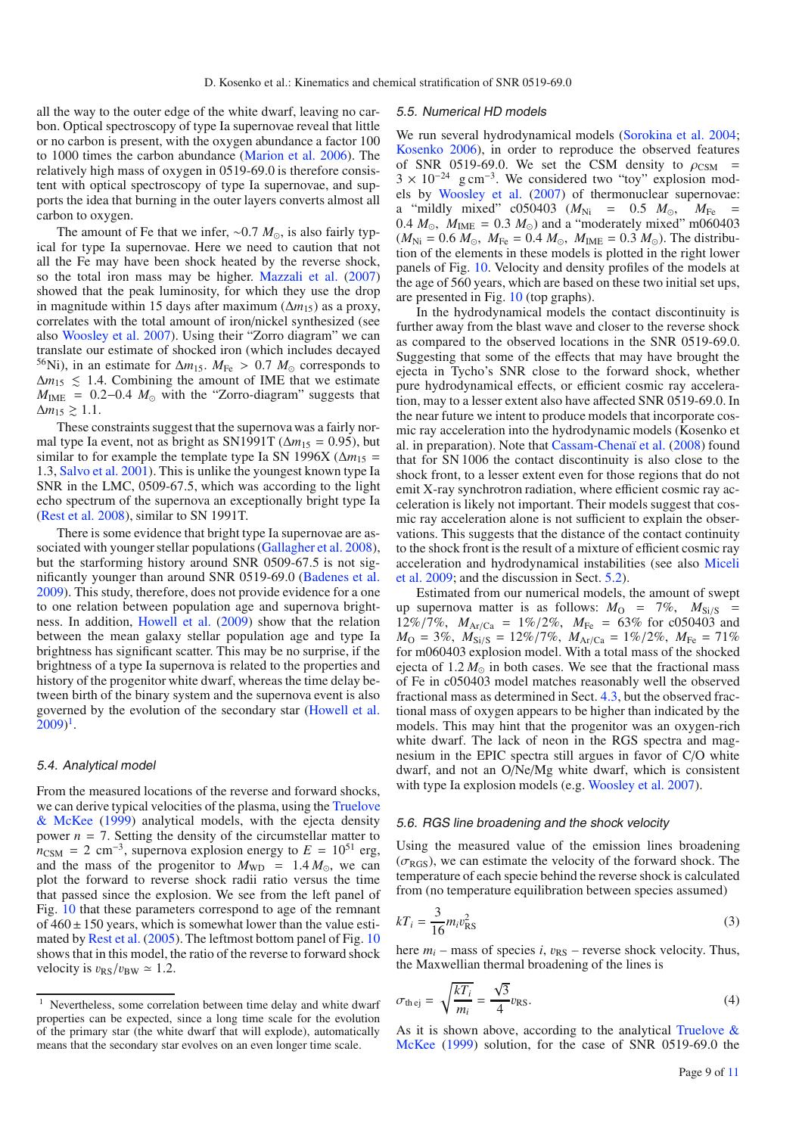all the way to the outer edge of the white dwarf, leaving no carbon. Optical spectroscopy of type Ia supernovae reveal that little or no carbon is present, with the oxygen abundance a factor 100 to 1000 times the carbon abundance [\(Marion et al. 2006\)](#page-10-46). The relatively high mass of oxygen in 0519-69.0 is therefore consistent with optical spectroscopy of type Ia supernovae, and supports the idea that burning in the outer layers converts almost all carbon to oxygen.

The amount of Fe that we infer, ~0.7 *M*<sub>⊙</sub>, is also fairly typical for type Ia supernovae. Here we need to caution that not all the Fe may have been shock heated by the reverse shock, so the total iron mass may be higher. [Mazzali et al.](#page-10-37) [\(2007\)](#page-10-37) showed that the peak luminosity, for which they use the drop in magnitude within 15 days after maximum  $(\Delta m_{15})$  as a proxy, correlates with the total amount of iron/nickel synthesized (see also [Woosley et al. 2007\)](#page-10-4). Using their "Zorro diagram" we can translate our estimate of shocked iron (which includes decayed <sup>56</sup>Ni), in an estimate for  $\Delta m_{15}$ .  $M_{Fe} > 0.7$   $M_{\odot}$  corresponds to  $\Delta m_{15} \leq 1.4$ . Combining the amount of IME that we estimate  $M_{\text{IME}}$  = 0.2–0.4  $M_{\odot}$  with the "Zorro-diagram" suggests that  $\Delta m_{15}$  ≥ 1.1.

These constraints suggest that the supernova was a fairly normal type Ia event, not as bright as SN1991T ( $\Delta m_{15} = 0.95$ ), but similar to for example the template type Ia SN 1996X ( $\Delta m_{15}$  = 1.3, [Salvo et al. 2001](#page-10-47)). This is unlike the youngest known type Ia SNR in the LMC, 0509-67.5, which was according to the light echo spectrum of the supernova an exceptionally bright type Ia [\(Rest et al. 2008\)](#page-10-48), similar to SN 1991T.

There is some evidence that bright type Ia supernovae are associated with younger stellar populations [\(Gallagher et al. 2008](#page-10-49)), but the starforming history around SNR 0509-67.5 is not significantly younger than around SNR 0519-69.0 [\(Badenes et al.](#page-10-50) [2009](#page-10-50)). This study, therefore, does not provide evidence for a one to one relation between population age and supernova brightness. In addition, [Howell et al.](#page-10-51) [\(2009](#page-10-51)) show that the relation between the mean galaxy stellar population age and type Ia brightness has significant scatter. This may be no surprise, if the brightness of a type Ia supernova is related to the properties and history of the progenitor white dwarf, whereas the time delay between birth of the binary system and the supernova event is also governed by the evolution of the secondary star [\(Howell et al.](#page-10-51)  $(2009)^1$  $(2009)^1$  $(2009)^1$  $(2009)^1$ .

# 5.4. Analytical model

<span id="page-8-0"></span>From the measured locations of the reverse and forward shocks, we can de[rive typical velocities of the plasma, using the](#page-10-52) Truelove & McKee [\(1999](#page-10-52)) analytical models, with the ejecta density power  $n = 7$ . Setting the density of the circumstellar matter to  $n_{\text{CSM}} = 2 \text{ cm}^{-3}$ , supernova explosion energy to  $E = 10^{51} \text{ erg}$ , and the mass of the progenitor to  $M_{WD} = 1.4 M_{\odot}$ , we can plot the forward to reverse shock radii ratio versus the time that passed since the explosion. We see from the left panel of Fig. [10](#page-9-1) that these parameters correspond to age of the remnant of  $460 \pm 150$  years, which is somewhat lower than the value estimated by [Rest et al.](#page-10-15) [\(2005\)](#page-10-15). The leftmost bottom panel of Fig. [10](#page-9-1) shows that in this model, the ratio of the reverse to forward shock velocity is  $v_{RS}/v_{BW} \simeq 1.2$ .

#### 5.5. Numerical HD models

We run several hydrodynamical models [\(Sorokina et al. 2004](#page-10-7); [Kosenko 2006\)](#page-10-53), in order to reproduce the observed features of SNR 0519-69.0. We set the CSM density to  $\rho_{CSM}$  =  $3 \times 10^{-24}$  g cm<sup>-3</sup>. We considered two "toy" explosion models by [Woosley et al.](#page-10-4) [\(2007](#page-10-4)) of thermonuclear supernovae: a "mildly mixed"  $c050403$  ( $M_{\text{Ni}}$  = 0.5  $M_{\odot}$ ,  $M_{\text{Fe}}$  = 0.4  $M_{\odot}$ ,  $M_{\text{IME}} = 0.3 M_{\odot}$ ) and a "moderately mixed" m060403  $(M_{\text{Ni}} = 0.6 \ M_{\odot}, M_{\text{Fe}} = 0.4 \ M_{\odot}, M_{\text{IME}} = 0.3 \ M_{\odot}).$  The distribution of the elements in these models is plotted in the right lower panels of Fig. [10.](#page-9-1) Velocity and density profiles of the models at the age of 560 years, which are based on these two initial set ups, are presented in Fig. [10](#page-9-1) (top graphs).

In the hydrodynamical models the contact discontinuity is further away from the blast wave and closer to the reverse shock as compared to the observed locations in the SNR 0519-69.0. Suggesting that some of the effects that may have brought the ejecta in Tycho's SNR close to the forward shock, whether pure hydrodynamical effects, or efficient cosmic ray acceleration, may to a lesser extent also have affected SNR 0519-69.0. In the near future we intent to produce models that incorporate cosmic ray acceleration into the hydrodynamic models (Kosenko et al. in preparation). Note that [Cassam-Chenaï et al.](#page-10-34) [\(2008\)](#page-10-34) found that for SN 1006 the contact discontinuity is also close to the shock front, to a lesser extent even for those regions that do not emit X-ray synchrotron radiation, where efficient cosmic ray acceleration is likely not important. Their models suggest that cosmic ray acceleration alone is not sufficient to explain the observations. This suggests that the distance of the contact continuity to the shock front is the result of a mixture of efficient cosmic ray acce[leration and hydrodynamical](#page-10-54) instabilities (see also Miceli et al. [2009](#page-10-54); and the discussion in Sect. [5.2\)](#page-7-0).

Estimated from our numerical models, the amount of swept up supernova matter is as follows:  $M_{\rm O}$  = 7%,  $M_{\rm Si/S}$  = 12%/7%,  $M_{Ar/Ca} = 1\%/2\%$ ,  $M_{Fe} = 63\%$  for c050403 and  $M_{\rm O} = 3\%, M_{\rm Si/S} = 12\%/7\%, M_{\rm Ar/Ca} = 1\%/2\%, M_{\rm Fe} = 71\%$ for m060403 explosion model. With a total mass of the shocked ejecta of  $1.2 M_{\odot}$  in both cases. We see that the fractional mass of Fe in c050403 model matches reasonably well the observed fractional mass as determined in Sect. [4.3,](#page-6-1) but the observed fractional mass of oxygen appears to be higher than indicated by the models. This may hint that the progenitor was an oxygen-rich white dwarf. The lack of neon in the RGS spectra and magnesium in the EPIC spectra still argues in favor of C/O white dwarf, and not an O/Ne/Mg white dwarf, which is consistent with type Ia explosion models (e.g. [Woosley et al. 2007\)](#page-10-4).

#### 5.6. RGS line broadening and the shock velocity

Using the measured value of the emission lines broadening  $(\sigma_{\text{RGS}})$ , we can estimate the velocity of the forward shock. The temperature of each specie behind the reverse shock is calculated from (no temperature equilibration between species assumed)

$$
kT_i = \frac{3}{16} m_i v_{\rm RS}^2
$$
 (3)

here  $m_i$  – mass of species *i*,  $v_{RS}$  – reverse shock velocity. Thus, the Maxwellian thermal broadening of the lines is

$$
\sigma_{\text{the}j} = \sqrt{\frac{kT_i}{m_i}} = \frac{\sqrt{3}}{4}v_{\text{RS}}.\tag{4}
$$

As it i[s shown above, according to the analytical](#page-10-52) Truelove  $\&$ McKee [\(1999](#page-10-52)) solution, for the case of SNR 0519-69.0 the

<sup>&</sup>lt;sup>1</sup> Nevertheless, some correlation between time delay and white dwarf properties can be expected, since a long time scale for the evolution of the primary star (the white dwarf that will explode), automatically means that the secondary star evolves on an even longer time scale.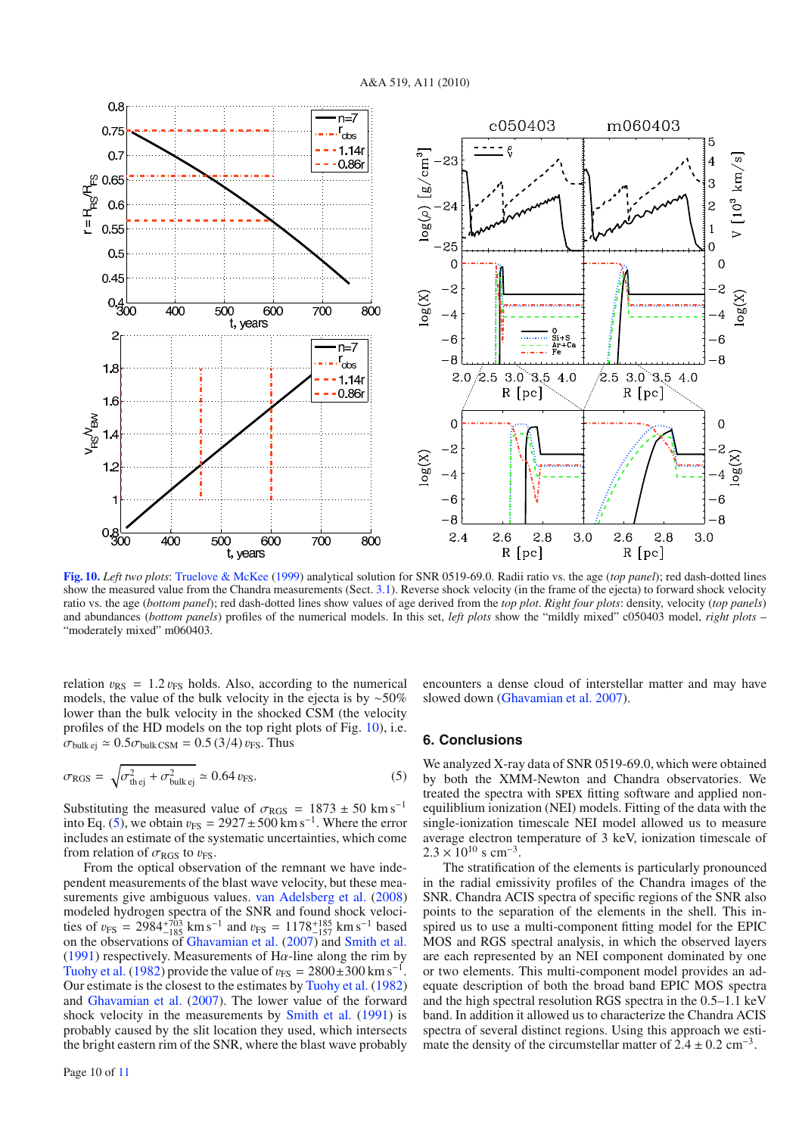

<span id="page-9-2"></span><span id="page-9-1"></span>**[Fig. 10.](http://dexter.edpsciences.org/applet.php?DOI=10.1051/0004-6361/200913903&pdf_id=10)** *Left two plots*: [Truelove & McKee](#page-10-52) [\(1999](#page-10-52)) analytical solution for SNR 0519-69.0. Radii ratio vs. the age (*top panel*); red dash-dotted lines show the measured value from the Chandra measurements (Sect. [3.1\)](#page-2-3). Reverse shock velocity (in the frame of the ejecta) to forward shock velocity ratio vs. the age (*bottom panel*); red dash-dotted lines show values of age derived from the *top plot*. *Right four plots*: density, velocity (*top panels*) and abundances (*bottom panels*) profiles of the numerical models. In this set, *left plots* show the "mildly mixed" c050403 model, *right plots* – "moderately mixed" m060403.

relation  $v_{RS} = 1.2 v_{FS}$  holds. Also, according to the numerical models, the value of the bulk velocity in the ejecta is by ∼50% lower than the bulk velocity in the shocked CSM (the velocity profiles of the HD models on the top right plots of Fig. [10\)](#page-9-1), i.e.  $\sigma_{\text{bulk ej}} \simeq 0.5 \sigma_{\text{bulk CSM}} = 0.5 (3/4) v_{\text{FS}}$ . Thus

$$
\sigma_{\text{RGS}} = \sqrt{\sigma_{\text{thej}}^2 + \sigma_{\text{bulk ej}}^2} \simeq 0.64 \, v_{\text{FS}}.\tag{5}
$$

Substituting the measured value of  $\sigma_{\text{RGS}} = 1873 \pm 50 \text{ km s}^{-1}$ into Eq. [\(5\)](#page-9-2), we obtain  $v_{FS} = 2927 \pm 500$  km s<sup>-1</sup>. Where the error includes an estimate of the systematic uncertainties, which come from relation of  $\sigma_{\text{RGS}}$  to  $v_{\text{FS}}$ .

From the optical observation of the remnant we have independent measurements of the blast wave velocity, but these measurements give ambiguous values. [van Adelsberg et al.](#page-10-55) [\(2008\)](#page-10-55) modeled hydrogen spectra of the SNR and found shock velocities of  $v_{FS} = 2984^{+703}_{-185}$  km s<sup>-1</sup> and  $v_{FS} = 1178^{+185}_{-157}$  km s<sup>-1</sup> based<br>on the observations of [Ghavamian et al.](#page-10-14) [\(2007\)](#page-10-14) and [Smith et al.](#page-10-13) [\(1991\)](#page-10-13) respectively. Measurements of H $\alpha$ -line along the rim by [Tuohy et al.](#page-10-12) [\(1982](#page-10-12)) provide the value of  $v_{FS} = 2800 \pm 300$  km s<sup>-1</sup>. Our estimate is the closest to the estimates by [Tuohy et al.](#page-10-12) [\(1982\)](#page-10-12) and [Ghavamian et al.](#page-10-14) [\(2007](#page-10-14)). The lower value of the forward shock velocity in the measurements by [Smith et al.](#page-10-13) [\(1991](#page-10-13)) is probably caused by the slit location they used, which intersects the bright eastern rim of the SNR, where the blast wave probably

encounters a dense cloud of interstellar matter and may have slowed down [\(Ghavamian et al. 2007](#page-10-14)).

# <span id="page-9-0"></span>**6. Conclusions**

We analyzed X-ray data of SNR 0519-69.0, which were obtained by both the XMM-Newton and Chandra observatories. We treated the spectra with spex fitting software and applied nonequiliblium ionization (NEI) models. Fitting of the data with the single-ionization timescale NEI model allowed us to measure average electron temperature of 3 keV, ionization timescale of  $2.3 \times 10^{10}$  s cm<sup>-3</sup>.

The stratification of the elements is particularly pronounced in the radial emissivity profiles of the Chandra images of the SNR. Chandra ACIS spectra of specific regions of the SNR also points to the separation of the elements in the shell. This inspired us to use a multi-component fitting model for the EPIC MOS and RGS spectral analysis, in which the observed layers are each represented by an NEI component dominated by one or two elements. This multi-component model provides an adequate description of both the broad band EPIC MOS spectra and the high spectral resolution RGS spectra in the 0.5–1.1 keV band. In addition it allowed us to characterize the Chandra ACIS spectra of several distinct regions. Using this approach we estimate the density of the circumstellar matter of  $2.4 \pm 0.2$  cm<sup>-3</sup>.